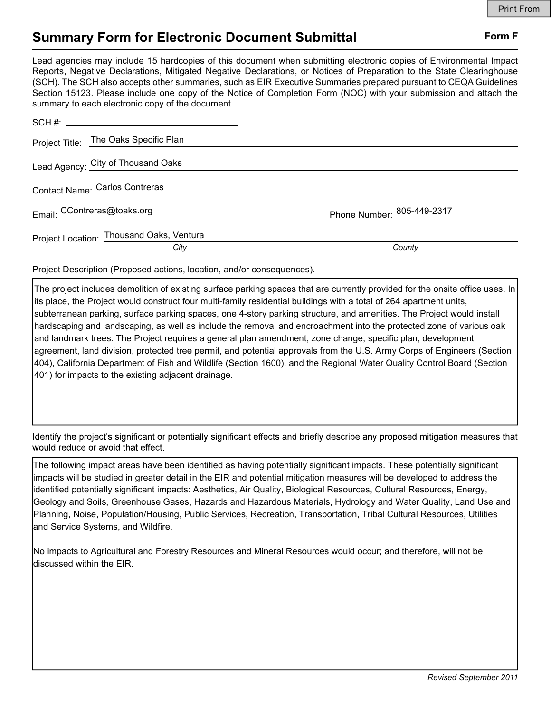## Summary Form for Electronic Document Submittal Form F

Lead agencies may include 15 hardcopies of this document when submitting electronic copies of Environmental Impact Reports, Negative Declarations, Mitigated Negative Declarations, or Notices of Preparation to the State Clearinghouse (SCH). The SCH also accepts other summaries, such as EIR Executive Summaries prepared pursuant to CEQA Guidelines Section 15123. Please include one copy of the Notice of Completion Form (NOC) with your submission and attach the summary to each electronic copy of the document.

| Project Title: The Oaks Specific Plan    |                            |
|------------------------------------------|----------------------------|
| Lead Agency: City of Thousand Oaks       |                            |
| Contact Name: Carlos Contreras           |                            |
| Email: CContreras@toaks.org              | Phone Number: 805-449-2317 |
| Project Location: Thousand Oaks, Ventura |                            |
| City                                     | County                     |

Project Description (Proposed actions, location, and/or consequences).

The project includes demolition of existing surface parking spaces that are currently provided for the onsite office uses. In its place, the Project would construct four multi-family residential buildings with a total of 264 apartment units, subterranean parking, surface parking spaces, one 4-story parking structure, and amenities. The Project would install hardscaping and landscaping, as well as include the removal and encroachment into the protected zone of various oak and landmark trees. The Project requires a general plan amendment, zone change, specific plan, development agreement, land division, protected tree permit, and potential approvals from the U.S. Army Corps of Engineers (Section 404), California Department of Fish and Wildlife (Section 1600), and the Regional Water Quality Control Board (Section 401) for impacts to the existing adjacent drainage.

Identify the project's significant or potentially significant effects and briefly describe any proposed mitigation measures that would reduce or avoid that effect.

The following impact areas have been identified as having potentially significant impacts. These potentially significant impacts will be studied in greater detail in the EIR and potential mitigation measures will be developed to address the identified potentially significant impacts: Aesthetics, Air Quality, Biological Resources, Cultural Resources, Energy, Geology and Soils, Greenhouse Gases, Hazards and Hazardous Materials, Hydrology and Water Quality, Land Use and Planning, Noise, Population/Housing, Public Services, Recreation, Transportation, Tribal Cultural Resources, Utilities and Service Systems, and Wildfire.

No impacts to Agricultural and Forestry Resources and Mineral Resources would occur; and therefore, will not be discussed within the EIR.